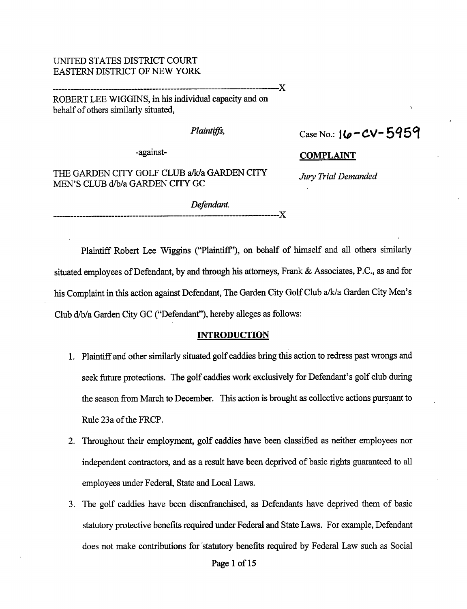## UNITED STATES DISTRICT COURT EASTERN DISTRICT OF NEW YORK

ROBERT LEE WIGGINS, in his individual capacity and on behalf of others similarly situated,

Plaintiffs,  $Case No.: 16-CV-5959$ 

-against- COMPLAINT

THE GARDEN CITY GOLF CLUB a/k/a GARDEN CITY Jury Trial Demanded MEN'S CLUB d/b/a GARDEN CITY GC

> Defendant. ----------------X

X

Plaintiff Robert Lee Wiggins ("Plaintiff'), on behalf of himself and all others similarly situated employees of Defendant, by and through his attorneys, Frank & Associates, P.C., as and for his Complaint in this action against Defendant, The Garden City Golf Club a/k/a Garden City Men's Club d/b/a Garden City GC ("Defendant"), hereby alleges as follows:

#### **INTRODUCTION**

- 1. Plaintiff and other similarly situated golf caddies bring this action to redress past wrongs and seek future protections. The golf caddies work exclusively for Defendant's golf club during the season from March to December. This action is brought as collective actions pursuant to Rule 23a of the FRCP.
- 2. Throughout their employment, golf caddies have been classified as neither employees nor independent contractors, and as a result have been deprived of basic rights guaranteed to all employees under Federal, State and Local Laws.
- 3. The golf caddies have been disenfranchised, as Defendants have deprived them of basic statutory protective benefits required under Federal and State Laws. For example, Defendant does not make contributions for 'statutory benefits required by Federal Law such as Social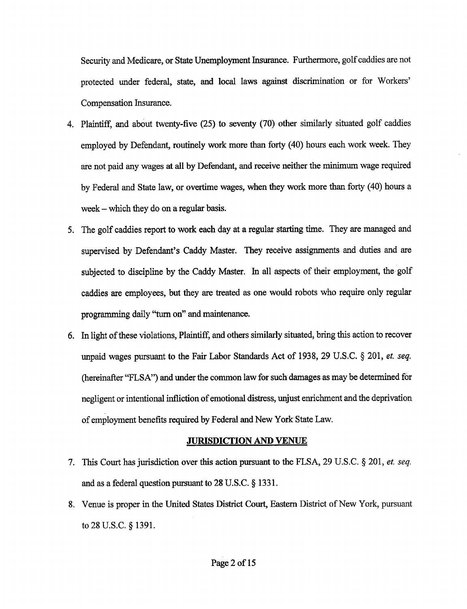Security and Medicare, or State Unemployment Insurance. Furthermore, golfcaddies are not protected under federal, state, and local laws against discrimination or for Workers' Compensation Insurance.

- 4. Plaintiff, and about twenty-five (25) to seventy (70) other similarly situated golf caddies employed by Defendant, routinely work more than forty (40) hours each work week. They are not paid any wages at all by Defendant, and receive neither the minimum wage required by Federal and State law, or overtime wages, when they work more than forty (40) hours <sup>a</sup> week – which they do on a regular basis.
- 5. The golf caddies report to work each day at <sup>a</sup> regular starting time. They are managed and supervised by Defendant's Caddy Master. They receive assignments and duties and are subjected to discipline by the Caddy Master. In all aspects of their employment, the golf caddies are employees, but they are treated as one would robots who require only regular programming daily "turn on" and maintenance.
- 6. In light ofthese violations, Plaintiff, and others similarly situated, bring this action to recover unpaid wages pursuant to the Fair Labor Standards Act of 1938, 29 U.S.C.  $\S$  201, *et. seq.* (hereinafter "FLSA") and under the common law for such damages as may be determined for negligent or intentional infliction of emotional distress, unjust enrichment and the deprivation of employment benefits required by Federal and New York State Law.

## JURISDICTION AND VENUE

- 7. This Court has jurisdiction over this action pursuant to the FLSA, 29 U.S.C.  $\S$  201, *et. seq.* and as a federal question pursuant to  $28$  U.S.C.  $\S$  1331.
- 8. Venue is proper in the United States District Court, Eastern District of New York, pursuant to 28 U.S.C. § 1391.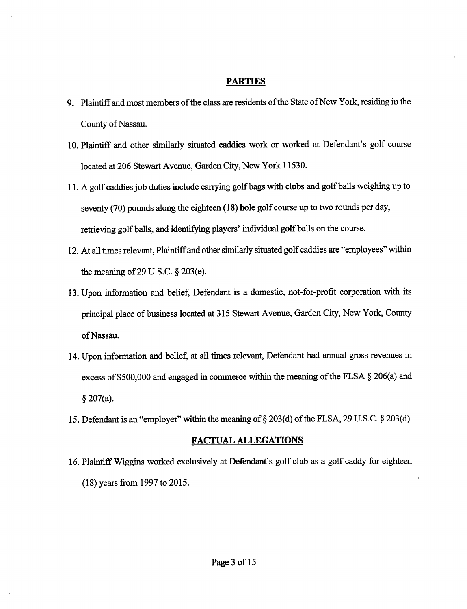#### PARTIES

- 9. Plaintiff and most members of the class are residents of the State of New York, residing in the County of Nassau.
- 10. Plaintiff and other similarly situated caddies work or worked at Defendant's golf course located at 206 Stewart Avenue, Garden City, New York 11530.
- 11. A golf caddies job duties include carrying golfbags with clubs and golf balls weighing up to seventy (70) pounds along the eighteen (18) hole golf course up to two rounds per day, retrieving golf balls, and identifying players' individual golf balls on the course.
- 12. At all times relevant, Plaintiff and other similarly situated golf caddies are "employees" within the meaning of 29 U.S.C.  $\S 203(e)$ .
- 13. Upon information and belief, Defendant is <sup>a</sup> domestic, not-for-profit corporation with its principal place of business located at <sup>315</sup> Stewart Avenue, Garden City, New York, County ofNassau.
- 14. Upon information and belief, at all times relevant, Defendant had annual gross revenues in excess of \$500,000 and engaged in commerce within the meaning of the FLSA  $\S$  206(a) and  $§ 207(a).$
- 15. Defendant is an "employer" within the meaning of  $\S 203(d)$  of the FLSA, 29 U.S.C.  $\S 203(d)$ .

#### FACTUAL ALLEGATIONS

16. Plaintiff Wiggins worked exclusively at Defendant's golf club as <sup>a</sup> golf caddy for eighteen (18) years from 1997 to 2015.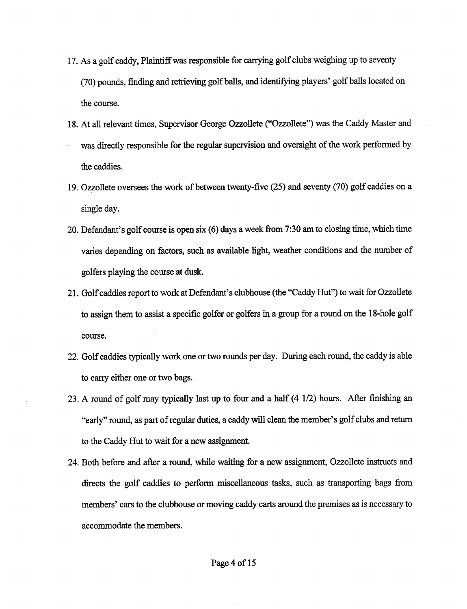- 17. As <sup>a</sup> golf caddy, Plaintiffwas responsible for carrying golf clubs weighing up to seventy (70) pounds, finding and retrieving golfballs, and identifying players' golf balls located on the course.
- 18. At all relevant times, Supervisor George Ozzollete ("Ozzollete") was the Caddy Master and was directly responsible for the regular supervision and oversight of the work performed by the caddies.
- 19. Ozzollete oversees the work of between twenty-five (25) and seventy (70) golf caddies on <sup>a</sup> single day.
- 20. Defendant's golf course is open six (6) days <sup>a</sup> week from 7:30 am to closing time, which time varies depending on factors, such as available light, weather conditions and the number of golfers playing the course at dusk.
- 21. Golf caddies report to work at Defendant's clubhouse (the "Caddy Hut") to wait for Ozzollete to assign them to assist <sup>a</sup> specific golfer or golfers in <sup>a</sup> group for <sup>a</sup> round on the 18-hole golf course.
- 22. Golf caddies typically work one or two rounds per day. During each round, the caddy is able to carry either one or two bags.
- 23. A round of golf may typically last up to four and <sup>a</sup> half (4 1/2) hours. After finishing an "early" round, as part of regular duties, a caddy will clean the member's golf clubs and return to the Caddy Hut to wait for <sup>a</sup> new assignment.
- 24. Both before and after <sup>a</sup> round, while waiting for <sup>a</sup> new assignment, Ozzollete instructs and directs the golf caddies to perform miscellaneous tasks, such as transporting bags from members' cars to the clubhouse or moving caddy carts around the premises as is necessary to accommodate the members.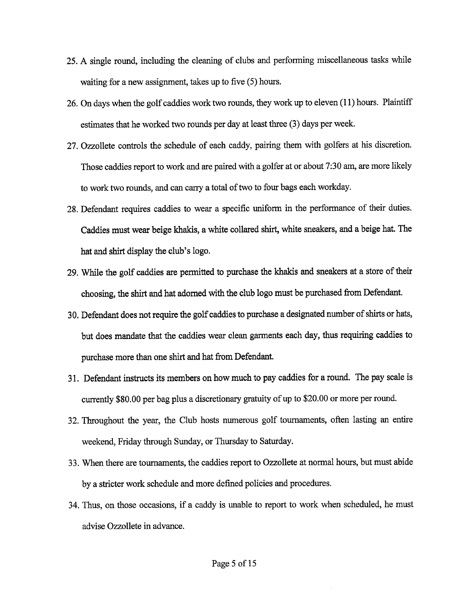- 25. A single round, including the cleaning of clubs and performing miscellaneous tasks while waiting for <sup>a</sup> new assignment, takes up to five (5) hours.
- 26. On days when the golf caddies work two rounds, they work up to eleven (11) hours. Plaintiff estimates that he worked two rounds per day at least three (3) days per week.
- 27. Ozzollete controls the schedule of each caddy, pairing them with golfers at his discretion. Those caddies report to work and are paired with <sup>a</sup> golfer at or about 7:30 am, are more likely to work two rounds, and can carry a total of two to four bags each workday.
- 28. Defendant requires caddies to wear <sup>a</sup> specific uniform in the performance of their duties. Caddies must wear beige khakis, <sup>a</sup> white collared shirt, white sneakers, and <sup>a</sup> beige hat. The hat and shirt display the club's logo.
- 29. While the golf caddies are permitted to purchase the khakis and sneakers at <sup>a</sup> store of their choosing, the shirt and hat adorned with the club logo must be purchased from Defendant.
- 30. Defendant does not require the golf caddies to purchase a designated number of shirts or hats, but does mandate that the caddies wear clean garments each day, thus requiring caddies to purchase more than one shirt and hat from Defendant.
- 31. Defendant instructs its members on how much to pay caddies for <sup>a</sup> round. The pay scale is currently \$80.00 per bag plus a discretionary gratuity of up to \$20.00 or more per round.
- 32. Throughout the year, the Club hosts numerous golf tournaments, often lasting an entire weekend, Friday through Sunday, or Thursday to Saturday.
- 33. When there are tournaments, the caddies report to Ozzollete at normal hours, but must abide by <sup>a</sup> stricter work schedule and more defined policies and procedures.
- 34. Thus, on those occasions, if <sup>a</sup> caddy is unable to report to work when scheduled, he must advise Ozzollete in advance.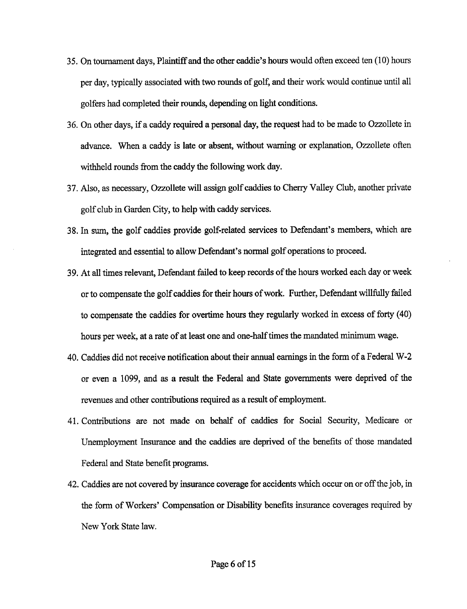- 35. On tournament days, Plaintiff and the other caddie's hours would often exceed ten (10) hours per day, typically associated with two rounds of golf, and their work would continue until all golfers had completed their rounds, depending on light conditions.
- 36. On other days, if <sup>a</sup> caddy required <sup>a</sup> personal day, the request had to be made to Ozzollete in advance. When <sup>a</sup> caddy is late or absent, without warning or explanation, Ozzollete often withheld rounds from the caddy the following work day.
- 37. Also, as necessary, Ozzollete will assign golf caddies to Cherry Valley Club, another private golf club in Garden City, to help with caddy services.
- 38. In sum, the golf caddies provide golf-related services to Defendant's members, which are integrated and essential to allow Defendant's normal golf operations to proceed.
- 39. At all times relevant, Defendant failed to keep records of the hours worked each day or week or to compensate the golf caddies for their hours of work. Further, Defendant willfully failed to compensate the caddies for overtime hours they regularly worked in excess of forty (40) hours per week, at <sup>a</sup> rate of at least one and one-half times the mandated minimum wage.
- 40. Caddies did not receive notification about their annual earnings in the form of <sup>a</sup> Federal W-2 or even <sup>a</sup> 1099, and as <sup>a</sup> result the Federal and State governments were deprived of the revenues and other contributions required as a result of employment.
- 41. Contributions are not made on behalf of caddies for Social Security, Medicare or Unemployment Insurance and the caddies are deprived of the benefits of those mandated Federal and State benefit programs.
- 42. Caddies are not covered by insurance coverage for accidents which occur on or offthe job, in the form of Workers' Compensation or Disability benefits insurance coverages required by New York State law.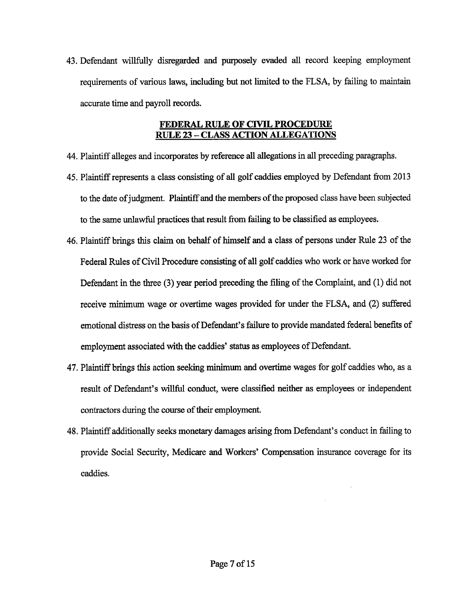43. Defendant willfully disregarded and purposely evaded all record keeping employment requirements of various laws, including but not limited to the FLSA, by failing to maintain accurate time and payroll records.

## FEDERAL RULE OF CWIL PROCEDURE **RULE 23 - CLASS ACTION ALLEGATIONS**

- 44. Plaintiffalleges and incorporates by reference all allegations in all preceding paragraphs.
- 45. Plaintiffrepresents <sup>a</sup> class consisting of all golf caddies employed by Defendant from <sup>2013</sup> to the date of judgment. Plaintiff and the members of the proposed class have been subjected to the same unlawful practices that result from failing to be classified as employees.
- 46. Plaintiff brings this claim on behalf of himself and a class of persons under Rule 23 of the Federal Rules of Civil Procedure consisting of all golf caddies who work or have worked for Defendant in the three (3) year period preceding the filing of the Complaint, and (1) did not receive minimum wage or overtime wages provided for under the FLSA, and (2) suffered emotional distress on the basis of Defendant's failure to provide mandated federal benefits of employment associated with the caddies' status as employees of Defendant.
- 47. Plaintiff brings this action seeking minimum and overtime wages for golf caddies who, as <sup>a</sup> result of Defendant's willful conduct, were classified neither as employees or independent contractors during the course of their employment.
- 48. Plaintiffadditionally seeks monetary damages arising from Defendant's conduct in failing to provide Social Security, Medicare and Workers' Compensation insurance coverage for its caddies.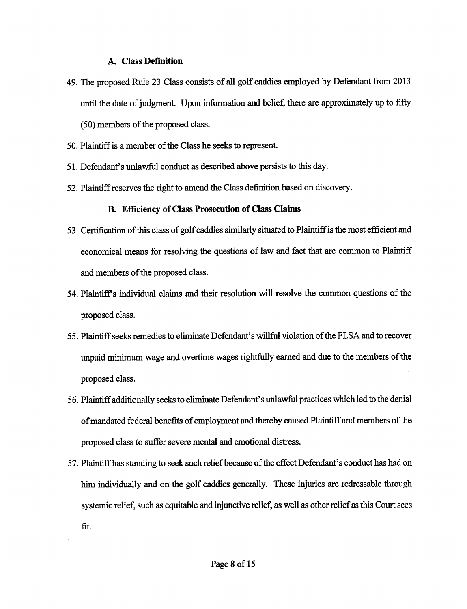## A. Class Definition

- 49. The proposed Rule <sup>23</sup> Class consists of all golf caddies employed by Defendant from <sup>2013</sup> until the date of judgment. Upon information and belief, there are approximately up to fifty (50) members of the proposed class.
- 50. Plaintiff is a member of the Class he seeks to represent.
- 51. Defendant's unlawful conduct as described above persists to this day.
- 52. Plaintiffreserves the right to amend the Class defmition based on discovery.

## B. Efficiency of Class Prosecution of Class Claims

- 53. Certification of this class of golf caddies similarly situated to Plaintiff is the most efficient and economical means for resolving the questions of law and fact that are common to Plaintiff and members of the proposed class.
- 54. Plaintiff <sup>s</sup> individual claims and their resolution will resolve the common questions of the proposed class.
- 55. Plaintiff seeks remedies to eliminate Defendant's willful violation ofthe FLSA and to recover unpaid minimum wage and overtime wages rightfully earned and due to the members of the proposed class.
- 56. Plaintiffadditionally seeks to eliminate Defendant's unlawful practices which led to the denial of mandated federal benefits of employment and thereby caused Plaintiff and members of the proposed class to suffer severe mental and emotional distress.
- 57. Plaintiffhas standing to seek such reliefbecause ofthe effect Defendant's conduct has had on him individually and on the golf caddies generally. These injuries are redressable through systemic relief, such as equitable and injunctive relief, as well as other relief as this Court sees fit.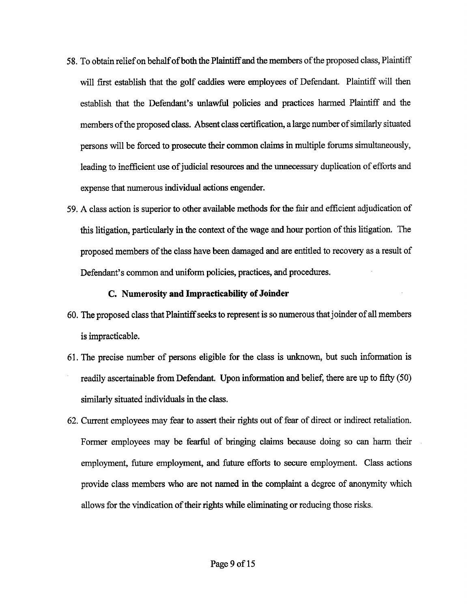- 58. To obtain relief on behalf of both the Plaintiff and the members of the proposed class, Plaintiff will first establish that the golf caddies were employees of Defendant. Plaintiff will then establish that the Defendant's unlawful policies and practices harmed Plaintiff and the members of the proposed class. Absent class certification, a large number of similarly situated persons will be forced to prosecute their common claims in multiple forums simultaneously, leading to inefficient use of judicial resources and the unnecessary duplication of efforts and expense that numerous individual actions engender.
- 59. A class action is superior to other available methods for the fair and efficient adjudication of this litigation, particularly in the context of the wage and hour portion of this litigation. The proposed members of the class have been damaged and are entitled to recovery as a result of Defendant's common and uniform policies, practices, and procedures.

## C. Numerosity and Impracticability of Joinder

- 60. The proposed class that Plaintiff seeks to represent is so numerous thatjoinder ofall members is impracticable.
- 61. The precise number of persons eligible for the class is unknown, but such information is readily ascertainable from Defendant. Upon information and belief, there are up to fifty (50) similarly situated individuals in the class.
- 62. Current employees may fear to assert their rights out of fear of direct or indirect retaliation. Former employees may be fearful of bringing claims because doing so can harm their employment, future employment, and future efforts to secure employment. Class actions provide class members who are not named in the complaint <sup>a</sup> degree of anonymity which allows for the vindication of their rights while eliminating or reducing those risks.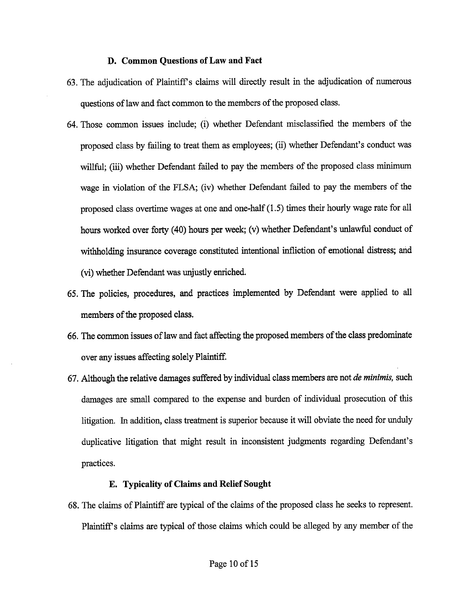#### D. Common Questions of Law and Fact

- 63. The adjudication of Plaintiff <sup>s</sup> claims will directly result in the adjudication of numerous questions of law and fact common to the members of the proposed class.
- 64. Those common issues include; (i) whether Defendant misclassified the members of the proposed class by failing to treat them as employees; (ii) whether Defendant's conduct was willful; (iii) whether Defendant failed to pay the members of the proposed class minimum wage in violation of the FLSA; (iv) whether Defendant failed to pay the members of the proposed class overtime wages at one and one-half (1.5) times their hourly wage rate for all hours worked over forty (40) hours per week; (v) whether Defendant's unlawful conduct of withholding insurance coverage constituted intentional infliction of emotional distress; and (vi) whether Defendant was unjustly enriched.
- 65. The policies, procedures, and practices implemented by Defendant were applied to all members of the proposed class.
- 66. The common issues of law and fact affecting the proposed members of the class predominate over any issues affecting solely Plaintiff.
- 67. Although the relative damages suffered by individual class members are not *de minimis*, such damages are small compared to the expense and burden of individual prosecution of this litigation. In addition, class treatment is superior because it will obviate the need for unduly duplicative litigation that might result in inconsistent judgments regarding Defendant's practices.

#### E. Typicality of Claims and Relief Sought

68. The claims of Plaintiff are typical of the claims of the proposed class he seeks to represent. Plaintiff's claims are typical of those claims which could be alleged by any member of the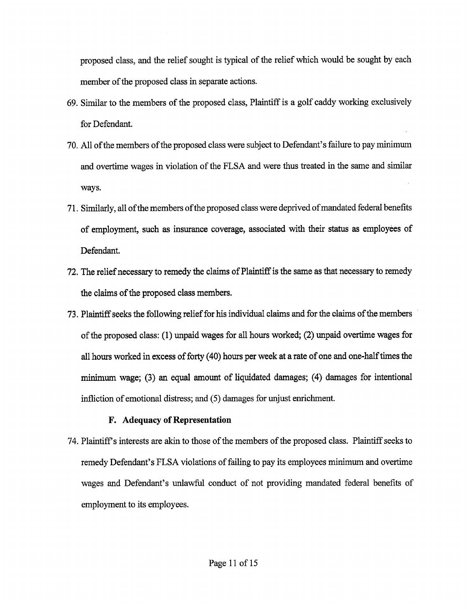proposed class, and the relief sought is typical of the relief which would be sought by each member of the proposed class in separate actions.

- 69. Similar to the members of the proposed class, Plaintiff is <sup>a</sup> golf caddy working exclusively for Defendant.
- 70. All of the members of the proposed class were subject to Defendant's failure to pay minimum and overtime wages in violation of the FLSA and were thus treated in the same and similar ways.
- 71. Similarly, all ofthe members ofthe proposed class were deprived ofmandated federal benefits of employment, such as insurance coverage, associated with their status as employees of Defendant.
- 72. The relief necessary to remedy the claims of Plaintiff is the same as that necessary to remedy the claims of the proposed class members.
- 73. Plaintiff seeks the following relief for his individual claims and for the claims of the members of the proposed class: (1) unpaid wages for all hours worked; (2) unpaid overtime wages for all hours worked in excess of forty (40) hours per week at a rate of one and one-half times the minimum wage; (3) an equal amount of liquidated damages; (4) damages for intentional infliction of emotional distress; and (5) damages for unjust enrichment.

## F. Adequacy of Representation

74. Plaintiff's interests are akin to those of the members of the proposed class. Plaintiff seeks to remedy Defendant's FLSA violations of failing to pay its employees minimum and overtime wages and Defendant's unlawful conduct of not providing mandated federal benefits of employment to its employees.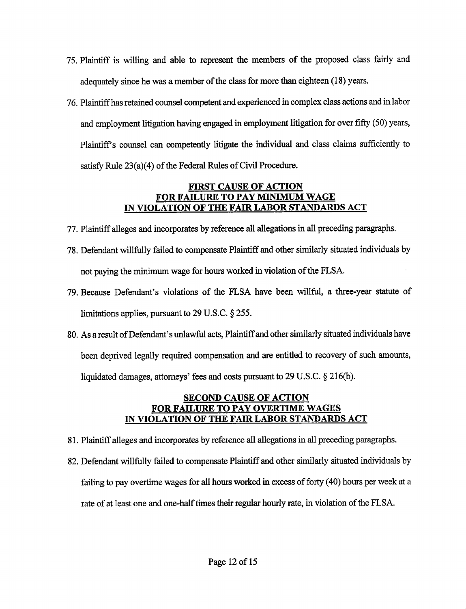- 75. Plaintiff is willing and able to represent the members of the proposed class fairly and adequately since he was a member of the class for more than eighteen (18) years.
- 76. Plaintiffhas retained counsel competent and experienced in complex class actions and in labor and employment litigation having engaged in employment litigation for over fifty (50) years, Plaintiff <sup>s</sup> counsel can competently litigate the individual and class claims sufficiently to satisfy Rule 23(a)(4) of the Federal Rules of Civil Procedure.

## FIRST CAUSE OF ACTION FOR FAILURE TO PAY MINIMUM WAGE IN VIOLATION OF THE FAIR LABOR STANDARDS ACT

- 77. Plaintiff alleges and incorporates by reference all allegations in all preceding paragraphs.
- 78. Defendant willfully failed to compensate Plaintiff and other similarly situated individuals by not paying the minimum wage for hours worked in violation of the FLSA.
- 79. Because Defendant's violations of the FLSA have been willful, <sup>a</sup> three-year statute of limitations applies, pursuant to  $29 \text{ U.S.C.}$   $\S 255$ .
- 80. As <sup>a</sup> result ofDefendant's unlawful acts, Plaintiffand other similarly situated individuals have been deprived legally required compensation and are entitled to recovery of such amounts, liquidated damages, attorneys' fees and costs pursuant to 29 U.S.C.  $\S$  216(b).

## SECOND CAUSE OF ACTION FOR FAILURE TO PAY OVERTIME WAGES IN VIOLATION OF THE FAIR LABOR STANDARDS ACT

- 81. Plaintiffalleges and incorporates by reference all allegations in all preceding paragraphs.
- 82. Defendant willfully failed to compensate Plaintiff and other similarly situated individuals by failing to pay overtime wages for all hours worked in excess of forty (40) hours per week at a rate of at least one and one-half times their regular hourly rate, in violation of the FLSA.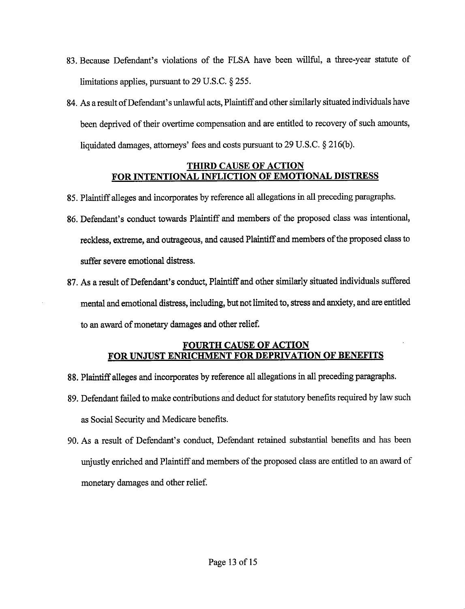- 83. Because Defendant's violations of the FLSA have been willful, <sup>a</sup> three-year statute of limitations applies, pursuant to 29 U.S.C. § 255.
- 84. As a result of Defendant's unlawful acts, Plaintiff and other similarly situated individuals have been deprived of their overtime compensation and are entitled to recovery of such amounts, liquidated damages, attorneys' fees and costs pursuant to 29 U.S.C.  $\S$  216(b).

## THIRD CAUSE OF ACTION FOR INTENTIONAL INFLICTION OF EMOTIONAL DISTRESS

- 85. Plaintiff alleges and incorporates by reference all allegations in all preceding paragraphs.
- 86. Defendant's conduct towards Plaintiff and members of the proposed class was intentional, reckless, extreme, and outrageous, and caused Plaintiff and members ofthe proposed class to suffer severe emotional distress.
- 87. As a result of Defendant's conduct, Plaintiff and other similarly situated individuals suffered mental and emotional distress, including, but not limited to, stress and anxiety, and are entitled to an award of monetary damages and other relief.

## FOURTH CAUSE OF ACTION FOR UNJUST ENRICHMENT FOR DEPRIVATION OF BENEFITS

- 88. Plaintiff alleges and incorporates by reference all allegations in all preceding paragraphs.
- 89. Defendant failed to make contributions and deduct for statutory benefits required by law such as Social Security and Medicare benefits.
- 90. As <sup>a</sup> result of Defendant's conduct, Defendant retained substantial benefits and has been unjustly enriched and Plaintiff and members of the proposed class are entitled to an award of monetary damages and other relief.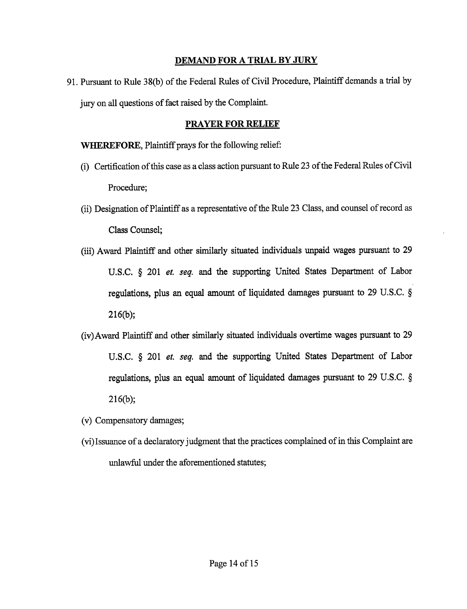## DEMAND FOR A TRIAL BY JURY

91. Pursuant to Rule 38(b) of the Federal Rules of Civil Procedure, Plaintiff demands a trial by jury on all questions of fact raised by the Complaint.

## PRAYER FOR RELIEF

WHEREFORE, Plaintiff prays for the following relief:

- (i) Certification ofthis case as <sup>a</sup> class action pursuant to Rule <sup>23</sup> ofthe Federal Rules ofCivil Procedure;
- (ii) Designation of Plaintiff as a representative of the Rule 23 Class, and counsel of record as Class Counsel;
- (iii) Award Plaintiff and other similarly situated individuals unpaid wages pursuant to <sup>29</sup> U.S.C. § 201 *et. seq.* and the supporting United States Department of Labor regulations, plus an equal amount of liquidated damages pursuant to <sup>29</sup> U.S.C. 216(b);
- (iv)Award Plaintiff and other similarly situated individuals overtime wages pursuant to <sup>29</sup> U.S.C. § 201 *et. seq.* and the supporting United States Department of Labor regulations, plus an equal amount of liquidated damages pursuant to <sup>29</sup> U.S.C. 216(b);
- (v) Compensatory damages;
- (vi)Issuance of <sup>a</sup> declaratory judgment that the practices complained ofin this Complaint are unlawful under the aforementioned statutes;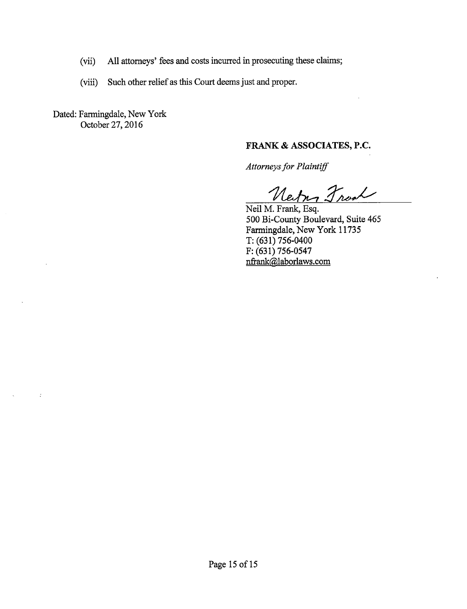- (vii) All attorneys' fees and costs incurred in prosecuting these claims;
- (viii) Such other relief as this Court deems just and proper.

Dated: Farmingdale, New York October 27, 2016

 $\pm$ 

## FRANK & ASSOCIATES, P.C.

Attorneys for Plaintiff

Neitry Front

Neil M. Frank, Esq. 500 Bi-County Boulevard, Suite 465 Farmingdale, New York <sup>11735</sup> T: (631) 756-0400 F: (631) 756-0547 nfrank@laborlaws.com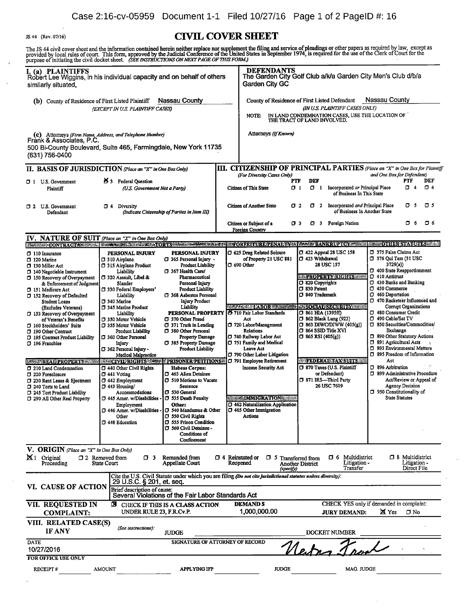$\bar{1}$ 

 $\bar{\bar{z}}$ 

## IS 44 (Rev. 07/16) CIVIL COVER SHEET

The JS 44 civil cover sheet and the information contained herein neither replace nor supplement the filing and service of pleadings or other papers as required by law, except as<br>provided by local rules of court. This form,

| I. (a) PLAINTIFFS<br>Robert Lee Wiggins, in his individual capacity and on behalf of others<br>similarly situated,                                                        |                                                                     |                                                                                  |                                                                   | <b>DEFENDANTS</b><br><b>Garden City GC</b>                                                                                       |                                                              |                                                                      | The Garden City Golf Club a/k/a Garden City Men's Club d/b/a                                                                                                 |
|---------------------------------------------------------------------------------------------------------------------------------------------------------------------------|---------------------------------------------------------------------|----------------------------------------------------------------------------------|-------------------------------------------------------------------|----------------------------------------------------------------------------------------------------------------------------------|--------------------------------------------------------------|----------------------------------------------------------------------|--------------------------------------------------------------------------------------------------------------------------------------------------------------|
| Nassau County<br>(b) County of Residence of First Listed Plaintiff<br>(EXCEPT IN U.S. PLAINTIFF CASES)                                                                    |                                                                     |                                                                                  |                                                                   | Nassau County<br>County of Residence of First Listed Defendant                                                                   |                                                              |                                                                      |                                                                                                                                                              |
|                                                                                                                                                                           |                                                                     |                                                                                  |                                                                   | (IN U.S. PLAINTIFF CASES ONLY)<br>IN LAND CONDEMNATION CASES, USE THE LOCATION OF<br><b>NOTE:</b><br>THE TRACT OF LAND INVOLVED. |                                                              |                                                                      |                                                                                                                                                              |
|                                                                                                                                                                           |                                                                     |                                                                                  |                                                                   | Attorneys (If Known)                                                                                                             |                                                              |                                                                      |                                                                                                                                                              |
| (C) Attorneys (Firm Name, Address, and Telephone Number)<br>Frànk & Associates, P.C.<br>500 Bi-County Boulevard, Suite 465, Farmingdale, New York 11735<br>(631) 756-0400 |                                                                     |                                                                                  |                                                                   |                                                                                                                                  |                                                              |                                                                      |                                                                                                                                                              |
| II. BASIS OF JURISDICTION (Place an "X" in One Box Only)                                                                                                                  |                                                                     |                                                                                  |                                                                   |                                                                                                                                  |                                                              |                                                                      | III. CITIZENSHIP OF PRINCIPAL PARTIES (Place an "X" in One Box for Plaintiff                                                                                 |
| 25 3 Federal Question<br>1 U.S. Government<br>(U.S. Government Not a Party)<br>Plaintiff                                                                                  |                                                                     |                                                                                  | (For Diversity Cases Only)<br>PTF<br><b>Citizen of This State</b> | <b>DEF</b><br>0 <sub>1</sub><br>$\Box$ 1                                                                                         | Incorporated or Principal Place<br>of Business In This State | and One Box for Defendant)<br>DEF<br>PTF<br>σ<br>$\square$ 4<br>4    |                                                                                                                                                              |
| 1 2 U.S. Government<br>Defendant                                                                                                                                          | O 4<br>Diversity                                                    | (Indicate Citizenship of Parties in Item III)                                    |                                                                   | <b>Citizen of Another State</b>                                                                                                  | O 2                                                          | 1 2 Incorporated and Principal Place<br>of Business In Another State | O 5<br>O 5                                                                                                                                                   |
|                                                                                                                                                                           |                                                                     |                                                                                  |                                                                   | Citizen or Subject of a<br><b>Foreign Country</b>                                                                                | O 3                                                          | 1 3 Foreign Nation                                                   | <b>O</b> 6<br>口 6                                                                                                                                            |
| IV. NATURE OF SUIT (Place an "X" in One Box Only)                                                                                                                         |                                                                     |                                                                                  |                                                                   |                                                                                                                                  |                                                              |                                                                      |                                                                                                                                                              |
|                                                                                                                                                                           |                                                                     |                                                                                  |                                                                   |                                                                                                                                  |                                                              |                                                                      | ET LANDER CONTRACTABLE ELEVANOR ELEVANORE CORTS ANGELES CORTS AND CORTS AND TO RELEVAN TO A LANDING MARKET BANKRUPTCY AS ENTRE EN ENTAIL DE STATUTES RELEVAN |
| $\Box$ 110 Insurance<br>$\Box$ 120 Marine<br>$\Box$ 130 Miller Act                                                                                                        | PERSONAL INJURY<br>□ 310 Airplane<br>□ 315 Airplane Product         | <b>PERSONAL INJURY</b><br>□ 365 Personal Injury -<br><b>Product Liability</b>    |                                                                   | □ 625 Drug Related Seizure<br>of Property 21 USC 881<br>$\square$ 690 Other                                                      | 1 423 Withdrawal                                             | $\square$ 422 Appeal 28 USC 158<br>28 USC 157                        | □ 375 False Claims Act<br>□ 376 Qui Tam (31 USC<br>3729(a)                                                                                                   |
| 140 Negotiable Instrument<br>150 Recovery of Overpayment                                                                                                                  | Liability<br>□ 320 Assault, Libel &                                 | 367 Health Care/<br>Pharmaceutical                                               |                                                                   |                                                                                                                                  | D 820 Copyrights                                             | <b>EXPROPERTY RIGHTS COMPANY</b>                                     | 400 State Reapportionment<br>$\Box$ 410 Antitrust<br>□ 430 Banks and Banking                                                                                 |
| & Enforcement of Judgment<br>151 Medicare Act                                                                                                                             | Slander<br>[J 330 Federal Employers'                                | Personal Injury<br><b>Product Liability</b><br>□ 368 Asbestos Personal           |                                                                   |                                                                                                                                  | <b>D</b> 830 Patent<br><b>340 Trademark</b>                  |                                                                      | D 450 Commerce<br>7 460 Deportation                                                                                                                          |
| □ 152 Recovery of Defaulted<br>Student Loans                                                                                                                              | Liability<br>□ 340 Marine<br>345 Marine Product                     | <b>Injury Product</b><br>Liability                                               |                                                                   | <b>GENERAL BLABOR HALLSHADE</b>                                                                                                  |                                                              | <b>EXISOCIATES COURT BY ALL PARTIES</b>                              | □ 470 Racketeer Influenced and<br>Corrupt Organizations                                                                                                      |
| (Excludes Veterans)<br>□ 153 Recovery of Overpayment<br>of Veteran's Benefits                                                                                             | Liability<br>□ 350 Motor Vehicle                                    | PERSONAL PROPERTY<br>CJ 370 Other Fraud                                          |                                                                   | 2 710 Fair Labor Standards<br>Act                                                                                                | □ 861 HIA (1395ff)<br>1 862 Black Lung (923)                 |                                                                      | 480 Consumer Credit<br>1 490 Cable/Sat TV                                                                                                                    |
| 160 Stockholders' Suits<br>190 Other Contract                                                                                                                             | □ 355 Motor Vehicle<br><b>Product Liability</b>                     | $\Box$ 371 Truth in Lending<br>380 Other Personal                                |                                                                   | 720 Labor/Management<br><b>Relations</b>                                                                                         | $\square$ 864 SSID Title XVI                                 | $\square$ 863 DIWC/DIWW (405(g))                                     | □ 850 Securities/Commodities/<br>Exchange                                                                                                                    |
| 7 195 Contract Product Liability<br>□ 196 Franchise                                                                                                                       | 360 Other Personal<br>Injury                                        | Property Damage<br>□ 385 Property Damage                                         |                                                                   | 740 Railway Labor Act<br>□ 751 Family and Medical                                                                                | $\Box$ 865 RSI (405(g))                                      |                                                                      | 990 Other Statutory Actions<br>391 Agricultural Acts                                                                                                         |
|                                                                                                                                                                           | □ 362 Personal Injury -<br>Medical Malpractice                      | <b>Product Liability</b>                                                         |                                                                   | Leave Act<br>790 Other Labor Litigation                                                                                          |                                                              |                                                                      | 593 Environmental Matters<br>□ 895 Freedom of Information                                                                                                    |
| <b>ERRET REAL PROPERTY WEIGHT IN ESCIVIERIGHTS A SECTION EXPERIMING SECTIONS</b>                                                                                          |                                                                     |                                                                                  |                                                                   | 791 Employee Retirement                                                                                                          |                                                              | <b>WIFEDERAL TAX SUITS!!!</b>                                        | Act                                                                                                                                                          |
| 7 210 Land Condemnation<br>7 220 Foreclosure                                                                                                                              | 440 Other Civil Rights<br>$\Box$ 441 Voting                         | <b>Habeas Corpus:</b><br>□ 463 Alien Detainee                                    |                                                                   | <b>Income Security Act</b>                                                                                                       |                                                              | 1 870 Taxes (U.S. Plaintiff<br>or Defendant)                         | <sup>396</sup> Arbitration<br>□ 899 Administrative Procedure                                                                                                 |
| □ 230 Rent Lease & Ejectment<br>240 Torts to Land                                                                                                                         | $\Box$ 442 Employment<br>$\Box$ 443 Housing/                        | 510 Motions to Vacate<br>Sentence                                                |                                                                   |                                                                                                                                  |                                                              | 7 871 IRS-Third Party<br>26 USC 7609                                 | Act/Review or Appeal of<br><b>Agency Decision</b>                                                                                                            |
| □ 245 Tort Product Liability<br>7 290 All Other Real Property                                                                                                             | Accommodations<br>$\square$ 445 Amer. w/Disabilities                | D 530 General<br>□ 535 Death Penalty                                             |                                                                   | <b>EXECUTION AND IMMIGRATIONS</b>                                                                                                |                                                              |                                                                      | 7 950 Constitutionality of<br><b>State Statutes</b>                                                                                                          |
|                                                                                                                                                                           | Employment<br>□ 446 Amer. w/Disabilities<br>Other<br>1448 Education | Other:<br>□ 540 Mandamus & Other<br>□ 550 Civil Rights<br>□ 555 Prison Condition |                                                                   | <b>J</b> 462 Naturalization Application<br>$\square$ 465 Other Immigration<br>Actions                                            |                                                              |                                                                      |                                                                                                                                                              |
|                                                                                                                                                                           |                                                                     | 560 Civil Detainee -<br><b>Conditions of</b><br>Confinement                      |                                                                   |                                                                                                                                  |                                                              |                                                                      |                                                                                                                                                              |
| V. ORIGIN (Place an "X" in One Box Only)<br>X <sub>1</sub> Original<br>Proceeding                                                                                         | $\Box$ 3<br>$\square$ 2 Removed from<br>State Court                 | <b>Remanded from</b><br>Appellate Court                                          | $\Box$ 4 Reinstated or                                            | O 5<br>Reopened<br>(specify)                                                                                                     | <b>Transferred from</b><br>Another District                  | Multidistrict<br>O 6<br>Litigation -<br>Transfer                     | □ 8 Multidistrict<br>Litigation -<br>Direct File                                                                                                             |
| VI. CAUSE OF ACTION                                                                                                                                                       | 29 U.S.C. § 201, et. seq.<br>Brief description of cause:            | Several Violations of the Fair Labor Standards Act                               |                                                                   | Cite the U.S. Civil Statute under which you are filing (Do not cite jurisdictional statutes unless diversity):                   |                                                              |                                                                      |                                                                                                                                                              |
| VII. REQUESTED IN<br><b>COMPLAINT:</b>                                                                                                                                    | Σ<br>UNDER RULE 23, F.R.Cv.P.                                       | CHECK IF THIS IS A CLASS ACTION                                                  |                                                                   | <b>DEMANDS</b><br>1,000,000.00                                                                                                   |                                                              | <b>JURY DEMAND:</b>                                                  | CHECK YES only if demanded in complaint:<br><b>X</b> Yes<br>$\Box$ No                                                                                        |
| VIII. RELATED CASE(S)<br><b>IF ANY</b>                                                                                                                                    | (See instructions):                                                 | JUDGE                                                                            |                                                                   |                                                                                                                                  |                                                              | <b>DOCKET NUMBER</b>                                                 |                                                                                                                                                              |
| DATE                                                                                                                                                                      |                                                                     | SIGNATURE OF ATTORNEY OF RECORD                                                  |                                                                   |                                                                                                                                  |                                                              |                                                                      |                                                                                                                                                              |
| 10/27/2016<br>FOR OFFICE USE ONLY                                                                                                                                         |                                                                     |                                                                                  |                                                                   |                                                                                                                                  |                                                              |                                                                      |                                                                                                                                                              |
| RECEIPT#                                                                                                                                                                  | AMOUNT                                                              | <b>APPLYING IFP</b>                                                              |                                                                   | <b>JUDGE</b>                                                                                                                     |                                                              | MAG. JUDGE                                                           |                                                                                                                                                              |
|                                                                                                                                                                           |                                                                     |                                                                                  |                                                                   |                                                                                                                                  |                                                              |                                                                      |                                                                                                                                                              |

 $\hat{\mathcal{A}}$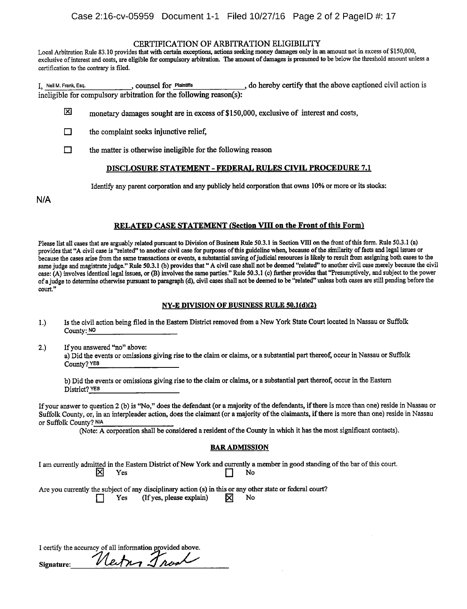#### CERTIFICATION OF ARBITRATION ELIGIBILITY

Local Arbitration Rule 83.10 provides that with certain exceptions, actions seeking money damages only in an amount not in excess of \$150,000, exclusive of interest and costs, are eligible for compulsory arbitration. The amount of damages is presumed to be below the threshold amount unless a certification to the contrary is filed.

I, Neil M. Frank, Esq., counsel for Plaintiffs, do hereby certify that the above captioned civil action is  $\frac{1}{n}$ ,  $\frac{1}{n}$ ,  $\frac{1}{n}$ ,  $\frac{1}{n}$ ,  $\frac{1}{n}$ ,  $\frac{1}{n}$ ,  $\frac{1}{n}$ ,  $\frac{1}{n}$ ,  $\frac{1}{n}$ ,  $\frac{1}{n}$ ,  $\frac{$ ineligible for compulsory arbitration for the following reason(s):

- 龱 monetary damages sought are in excess of \$150,000, exclusive of interest and costs,
- $\Box$ the complaint seeks injunctive relief,
- $\Box$  the matter is otherwise ineligible for the following reason

#### DISCLOSURE STATEMENT - FEDERAL RULES CIVIL PROCEDURE 7.1

Identify any parent corporation and any publicly held corporation that owns 10% or more or its stocks:

N/A

#### RELATED CASE STATEMENT (Section VIII on the Front of this Form)

Please list all cases that are arguably related pursuant to Division of Business Rule 50.3.1 in Section VIII on the front of this form. Rule 50.3.1 (a) provides that "A civil case is "related" to another civil case for purposes of this guideline when, because of the similarity of facts and legal issues or because the cases arise from the same transactions or events, <sup>a</sup> substantial saving ofjudicial resources is likely to result from assigning both cases to the same judge and magistrate judge." Rule 50.3.1 (b) provides that "A civil case shall not be deemed "related" to another civil case merely because the civil case: (A) involves identical legal issues, or (B) involves the same parties." Rule 50.3.1 (c) further provides that "Presumptively, and subject to the power of <sup>a</sup> judge to determine otherwise pursuant to paragraph (d), civil cases shall not be deemed to be "related" unless both cases are still pending before the court."

#### NY-E DIVISION OF BUSINESS RULE 50.1(d)(2)

- 1.) Is the civil action being filed in the Eastern District removed from <sup>a</sup> New York State Court located in Nassau or Suffolk County: NO
- 2.) Ifyou answered "no" above: a) Did the events or omissions giving rise to the claim or claims, or <sup>a</sup> substantial part thereof, occur in Nassau or Suffolk County? YES

b) Did the events or omissions giving rise to the claim or claims, or <sup>a</sup> substantial part thereof, occur in the Eastern District? YES

If your answer to question 2 (b) is "No," does the defendant (or a majority of the defendants, if there is more than one) reside in Nassau or Suffolk County, or, in an interpleader action, does the claimant (or a majority of the claimants, if there is more than one) reside in Nassau or Suffolk County? N/A

(Note: A corporation shall be considered a resident of the County in which it has the most significant contacts).

#### BAR ADMISSION

I am currently admitted in the Eastern District of New York and currently a member in good standing of the bar of this court.<br>
No

Are you currently the subject of any disciplinary action (s) in this or any other state or federal court?<br>
Yes (If yes, please explain)  $\overline{X}$  No  $($ If yes, please explain $)$ 

I certify the accuracy of all information provided above.

Signature: Neitrin Trook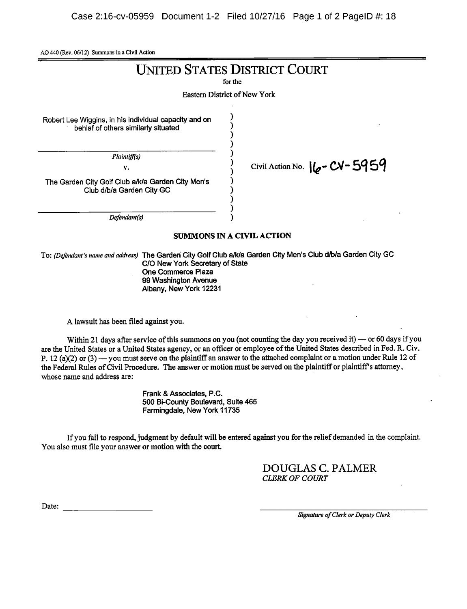AO <sup>440</sup> (Rev. 06/12) Summons in <sup>a</sup> Civil Action

# UNITED STATES DISTRICT COURT

for the

Eastern District of New York

 $\lambda$ λ  $\lambda$ € λ

Robert Lee Wiggins, in his individual capacity and on behlaf of others similarly situated

Plaintiff(s)

v.  $\frac{1}{1}$  Civil Action No.  $\frac{1}{6}$  - CV - 5959

The Garden City Golf Club a/k/a Garden City Men's Club d/b/a Garden City GC

Defendant(s)

#### SUMMONS IN A CIVIL ACTION

To: (Defendant's name and address) The Garden City Golf Club a/k/a Garden City Men's Club d/b/a Garden City GC CIO New York Secretary of State One Commerce Plaza 99 Washington Avenue Albany, New York 12231

A lawsuit has been filed against you.

Within 21 days after service of this summons on you (not counting the day you received it) — or 60 days if you are the United States or a United States agency, or an officer or employee of the United States described in Fed. R. Civ. P. 12 (a)(2) or (3) — you must serve on the plaintiff an answer to the attached complaint or a motion under Rule 12 of the Federal Rules of Civil Procedure. The answer or motion must be served on the plaintiff or plaintiff's attorney, whose name and address are:

> Frank & Associates, P.C. 500 Bi-County Boulevard, Suite 465 Farmingdale, New York 11735

Ifyou fail to respond, judgment by default will be entered against you for the reliefdemanded in the complaint. You also must file your answer or motion with the court.

> DOUGLAS C. PALMER CLERK OF COURT

Date:

Signature of Clerk or Deputy Clerk